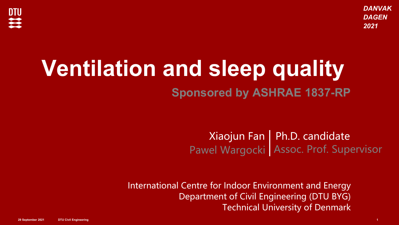*DANVAK DAGEN 2021*



## **Ventilation and sleep quality**

**Sponsored by ASHRAE 1837-RP**

Xiaojun Fan Pawel Wargocki Ph.D. candidate Assoc. Prof. Supervisor

International Centre for Indoor Environment and Energy Department of Civil Engineering (DTU BYG) Technical University of Denmark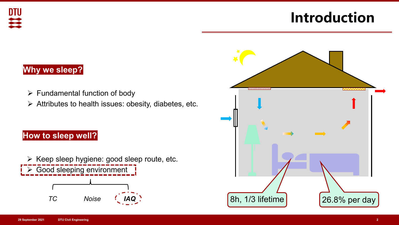### **Introduction**

### **Why we sleep?**

**DTU** 

 $\mathbf{z}$ 

- $\triangleright$  Fundamental function of body
- $\triangleright$  Attributes to health issues: obesity, diabetes, etc.

### **How to sleep well?**

 $\triangleright$  Keep sleep hygiene: good sleep route, etc. Good sleeping environment  $TC$  *Noise* 

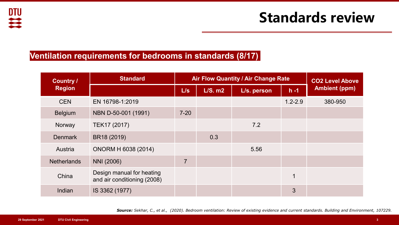#### **Ventilation requirements for bedrooms in standards (8/17)**

| <b>Country /</b><br><b>Region</b> | <b>Standard</b>                                          | Air Flow Quantity / Air Change Rate |           |             |             | <b>CO2 Level Above</b> |
|-----------------------------------|----------------------------------------------------------|-------------------------------------|-----------|-------------|-------------|------------------------|
|                                   |                                                          | L/s                                 | $L/S.$ m2 | L/s. person | $h - 1$     | <b>Ambient (ppm)</b>   |
| <b>CEN</b>                        | EN 16798-1:2019                                          |                                     |           |             | $1.2 - 2.9$ | 380-950                |
| <b>Belgium</b>                    | NBN D-50-001 (1991)                                      | $7 - 20$                            |           |             |             |                        |
| Norway                            | TEK17 (2017)                                             |                                     |           | 7.2         |             |                        |
| <b>Denmark</b>                    | BR18 (2019)                                              |                                     | 0.3       |             |             |                        |
| Austria                           | <b>ONORM H 6038 (2014)</b>                               |                                     |           | 5.56        |             |                        |
| <b>Netherlands</b>                | NNI (2006)                                               | $\overline{7}$                      |           |             |             |                        |
| China                             | Design manual for heating<br>and air conditioning (2008) |                                     |           |             | $\mathbf 1$ |                        |
| Indian                            | IS 3362 (1977)                                           |                                     |           |             | 3           |                        |

*Source: Sekhar, C., et al., (2020). Bedroom ventilation: Review of existing evidence and current standards. Building and Environment, 107229.*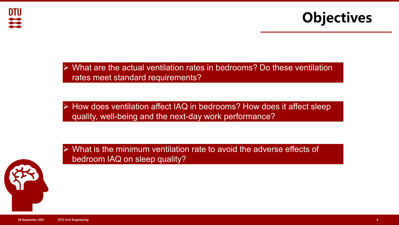



- What are the actual ventilation rates in bedrooms? Do these ventilation rates meet standard requirements?
- How does ventilation affect IAQ in bedrooms? How does it affect sleep quality, well-being and the next-day work performance?



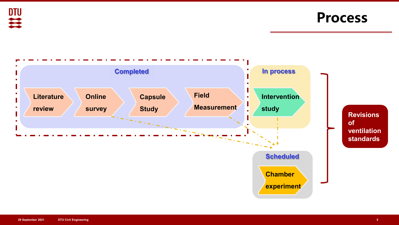

**Process**

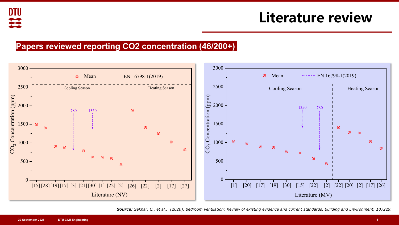### **Literature review**

#### **Papers reviewed reporting CO2 concentration (46/200+)**



*Source: Sekhar, C., et al., (2020). Bedroom ventilation: Review of existing evidence and current standards. Building and Environment, 107229.*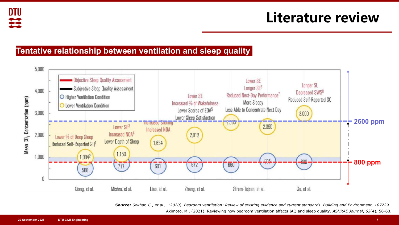### **Literature review**

#### **Tentative relationship between ventilation and sleep quality**



Source: Sekhar, C., et al., (2020). Bedroom ventilation: Review of existing evidence and current standards. Building and Environment, 107229 Akimoto, M., (2021). Reviewing how bedroom ventilation affects IAQ and sleep quality. *ASHRAE Journal*, *63*(4), 56-60.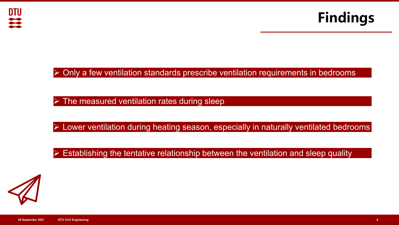



### $\triangleright$  Only a few ventilation standards prescribe ventilation requirements in bedrooms

 $\triangleright$  The measured ventilation rates during sleep

Lower ventilation during heating season, especially in naturally ventilated bedrooms

Establishing the tentative relationship between the ventilation and sleep quality

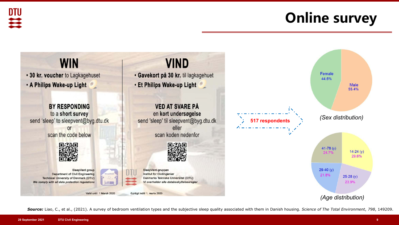



*Source:* Liao, C., et al., (2021). A survey of bedroom ventilation types and the subjective sleep quality associated with them in Danish housing. *Science of The Total Environment*, *798*, 149209.

DTIJ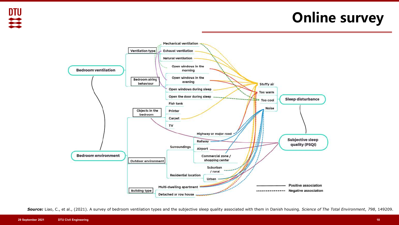叫笑

### **Online survey**



*Source:* Liao, C., et al., (2021). A survey of bedroom ventilation types and the subjective sleep quality associated with them in Danish housing. *Science of The Total Environment*, *798*, 149209.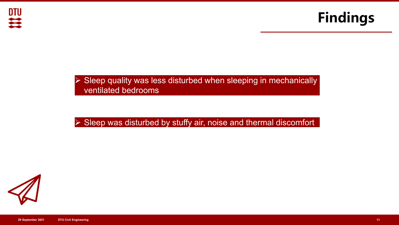



#### $\triangleright$  Sleep quality was less disturbed when sleeping in mechanically ventilated bedrooms

### $\triangleright$  Sleep was disturbed by stuffy air, noise and thermal discomfort

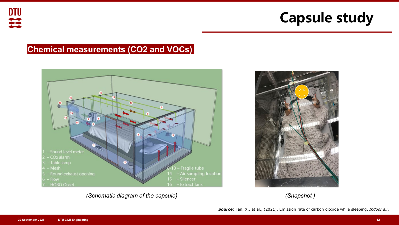### **Chemical measurements (CO2 and VOCs)**



*(Schematic diagram of the capsule) (Snapshot )*



*Source:* Fan, X., et al., (2021). Emission rate of carbon dioxide while sleeping. *Indoor air*.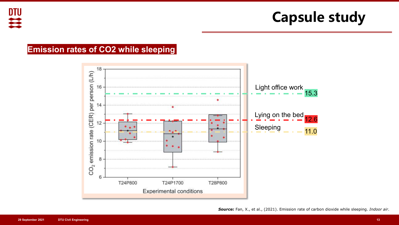#### **Emission rates of CO2 while sleeping**

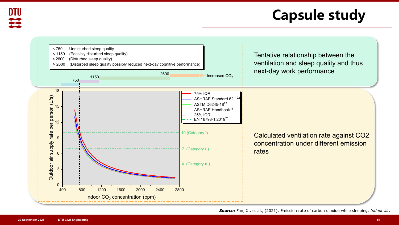

*Source:* Fan, X., et al., (2021). Emission rate of carbon dioxide while sleeping. *Indoor air*.

**DTU**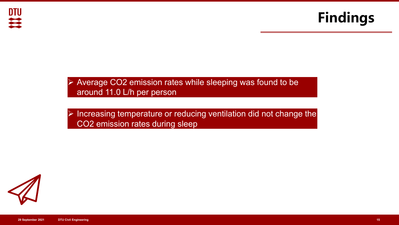



#### $\triangleright$  Average CO2 emission rates while sleeping was found to be around 11.0 L/h per person

### Increasing temperature or reducing ventilation did not change the CO2 emission rates during sleep

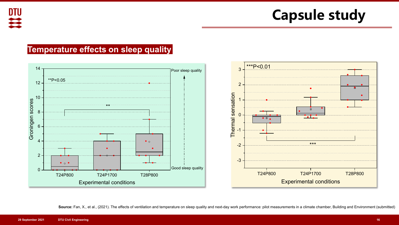#### **Temperature effects on sleep quality**



Source: Fan, X., et al., (2021). The effects of ventilation and temperature on sleep quality and next-day work performance: pilot measurements in a climate chamber, Building and Environment (submitted)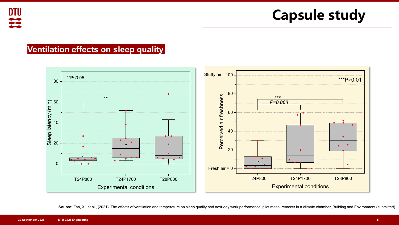DTU

**Capsule study**

#### **Ventilation effects on sleep quality**



Source: Fan, X., et al., (2021). The effects of ventilation and temperature on sleep quality and next-day work performance: pilot measurements in a climate chamber, Building and Environment (submitted)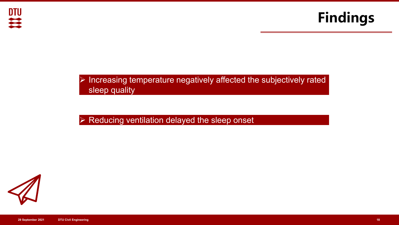



### $\triangleright$  Increasing temperature negatively affected the subjectively rated sleep quality

### $\triangleright$  Reducing ventilation delayed the sleep onset

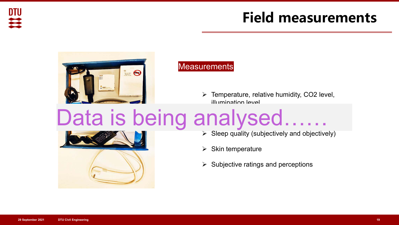

### **Field measurements**



#### **Measurements**

 $\triangleright$  Temperature, relative humidity, CO2 level, illumination level

### INAIVSAN Data is being analysed……



- $\triangleright$  Sleep quality (subjectively and objectively)
- $\triangleright$  Skin temperature
- $\triangleright$  Subjective ratings and perceptions